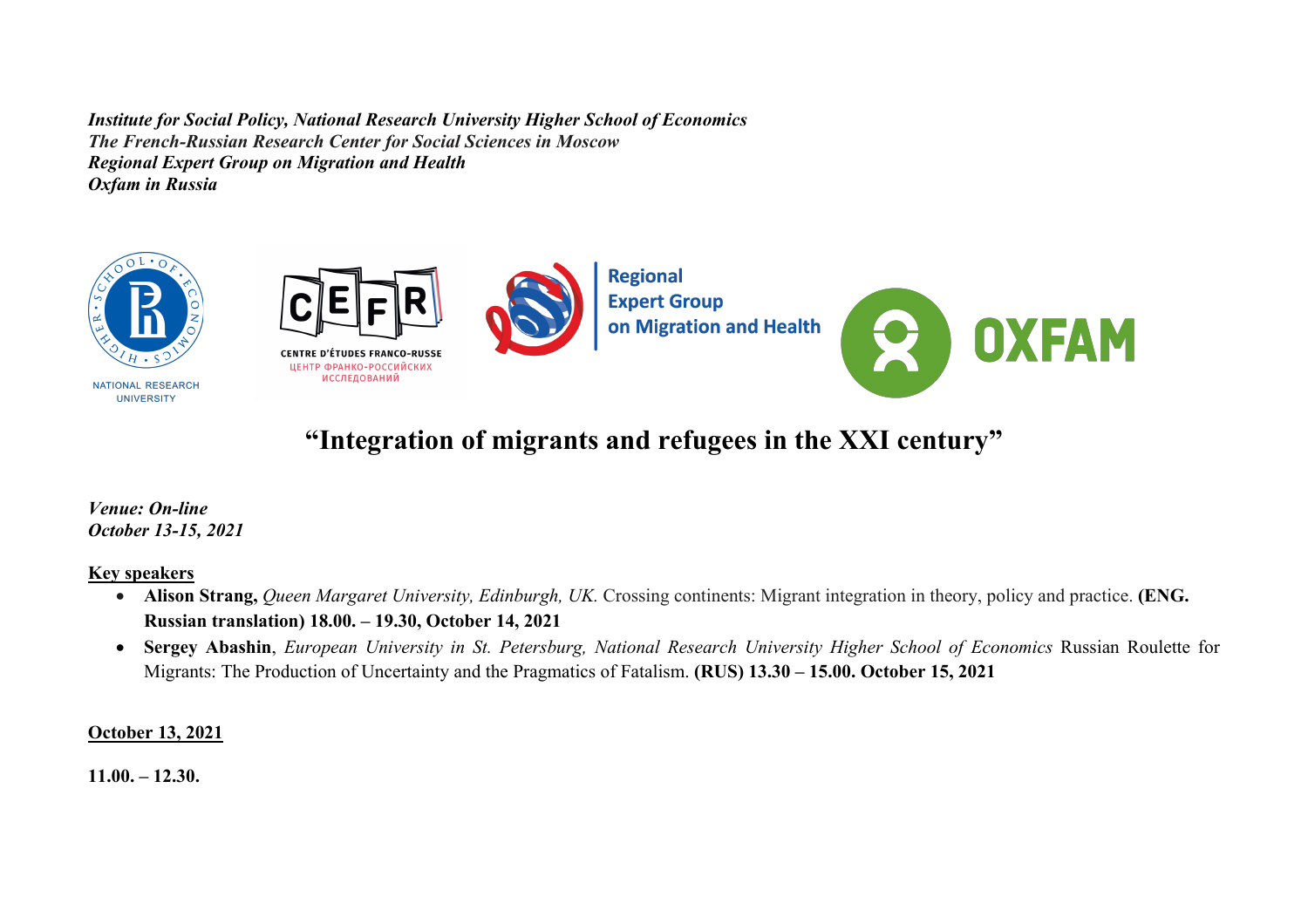*Institute for Social Policy, National Research University Higher School of Economics The French-Russian Research Center for Social Sciences in Moscow Regional Expert Group on Migration and Health Oxfam in Russia*



# **"Integration of migrants and refugees in the XXI century"**

*Venue: On-line October 13-15, 2021*

#### **Key speakers**

- **Alison Strang,** *Queen Margaret University, Edinburgh, UK.* Crossing continents: Migrant integration in theory, policy and practice. **(ENG. Russian translation) 18.00. – 19.30, October 14, 2021**
- **Sergey Abashin**, *European University in St. Petersburg, National Research University Higher School of Economics* Russian Roulette for Migrants: The Production of Uncertainty and the Pragmatics of Fatalism. **(RUS) 13.30 – 15.00. October 15, 2021**

## **October 13, 2021**

**11.00. – 12.30.**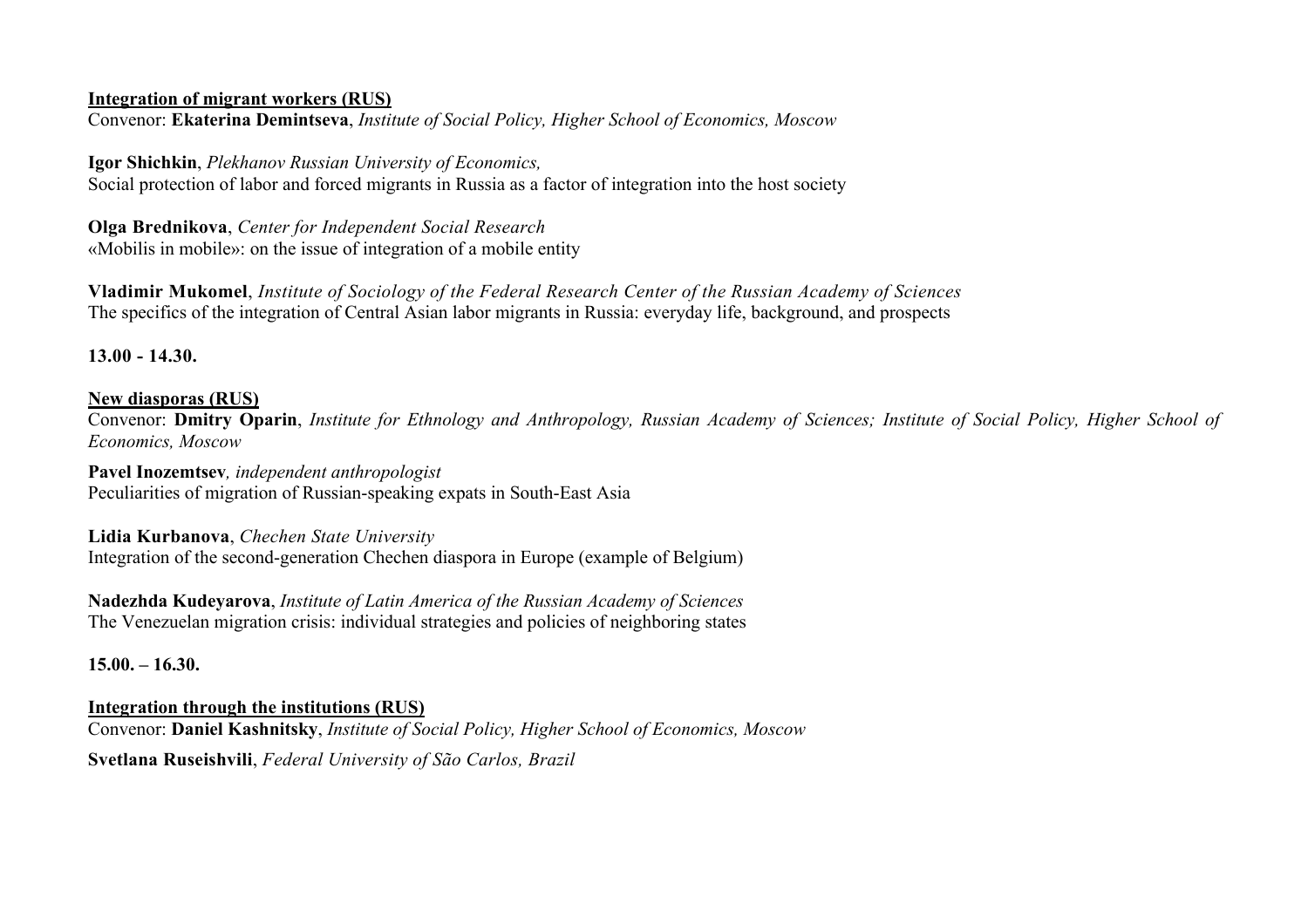#### **Integration of migrant workers (RUS)**

Convenor: **Ekaterina Demintseva**, *Institute of Social Policy, Higher School of Economics, Moscow*

**Igor Shichkin**, *Plekhanov Russian University of Economics,* 

Social protection of labor and forced migrants in Russia as a factor of integration into the host society

**Olga Brednikova**, *Center for Independent Social Research* «Mobilis in mobile»: on the issue of integration of a mobile entity

**Vladimir Mukomel**, *Institute of Sociology of the Federal Research Center of the Russian Academy of Sciences* The specifics of the integration of Central Asian labor migrants in Russia: everyday life, background, and prospects

**13.00 - 14.30.**

## **New diasporas (RUS)**

Convenor: **Dmitry Oparin**, *Institute for Ethnology and Anthropology, Russian Academy of Sciences; Institute of Social Policy, Higher School of Economics, Moscow*

**Pavel Inozemtsev***, independent anthropologist* Peculiarities of migration of Russian-speaking expats in South-East Asia

**Lidia Kurbanova**, *Chechen State University* Integration of the second-generation Chechen diaspora in Europe (example of Belgium)

**Nadezhda Kudeyarova**, *Institute of Latin America of the Russian Academy of Sciences* The Venezuelan migration crisis: individual strategies and policies of neighboring states

**15.00. – 16.30.**

**Integration through the institutions (RUS)**  Convenor: **Daniel Kashnitsky**, *Institute of Social Policy, Higher School of Economics, Moscow* **Svetlana Ruseishvili**, *Federal University of São Carlos, Brazil*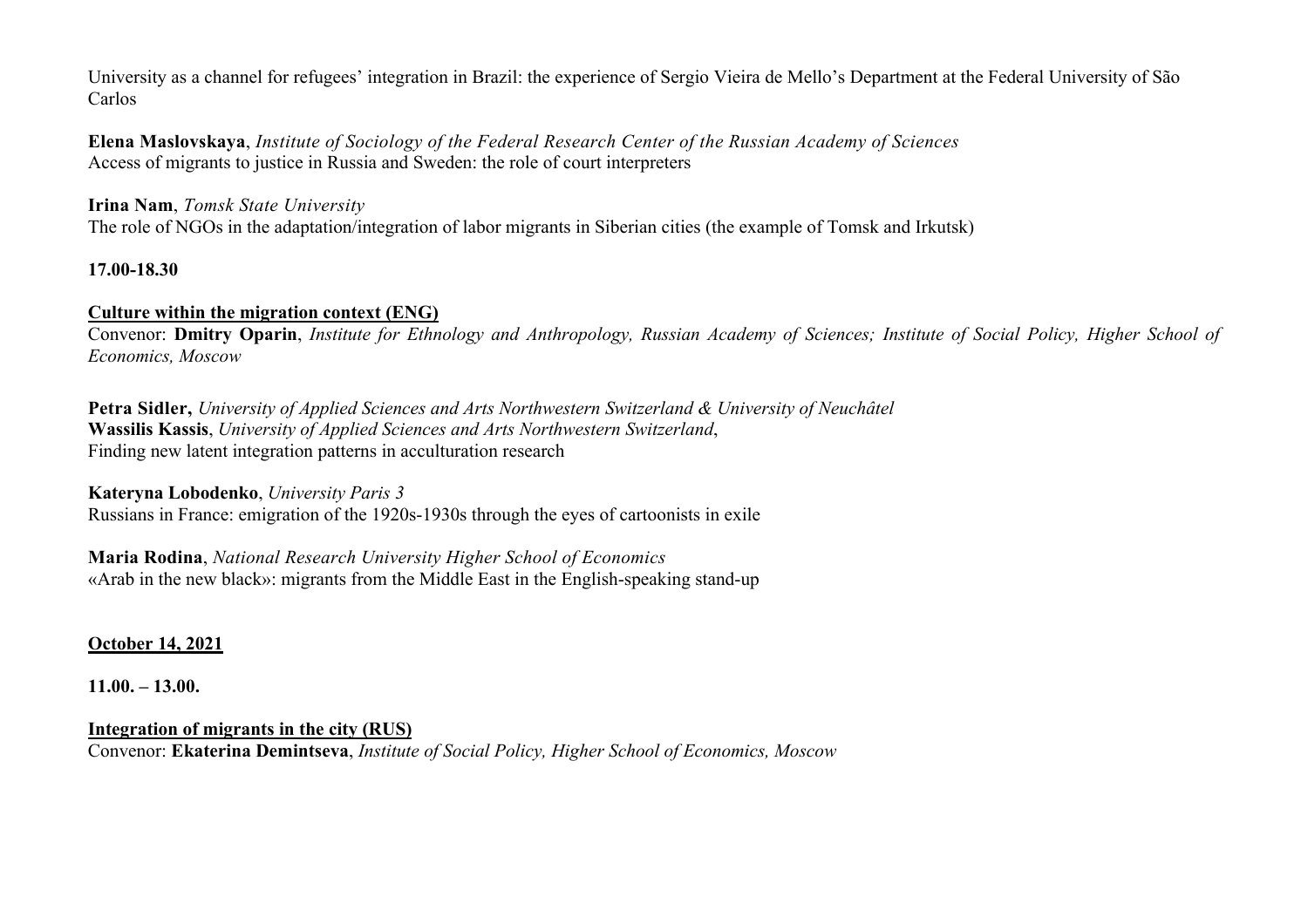University as a channel for refugees' integration in Brazil: the experience of Sergio Vieira de Mello's Department at the Federal University of São Carlos

**Elena Maslovskaya**, *Institute of Sociology of the Federal Research Center of the Russian Academy of Sciences* Access of migrants to justice in Russia and Sweden: the role of court interpreters

**Irina Nam**, *Tomsk State University* The role of NGOs in the adaptation/integration of labor migrants in Siberian cities (the example of Tomsk and Irkutsk)

## **17.00-18.30**

## **Culture within the migration context (ENG)**

Convenor: **Dmitry Oparin**, *Institute for Ethnology and Anthropology, Russian Academy of Sciences; Institute of Social Policy, Higher School of Economics, Moscow*

**Petra Sidler,** *University of Applied Sciences and Arts Northwestern Switzerland & University of Neuchâtel* **Wassilis Kassis**, *University of Applied Sciences and Arts Northwestern Switzerland*, Finding new latent integration patterns in acculturation research

**Kateryna Lobodenko**, *University Paris 3* Russians in France: emigration of the 1920s-1930s through the eyes of cartoonists in exile

**Maria Rodina**, *National Research University Higher School of Economics* «Arab in the new black»: migrants from the Middle East in the English-speaking stand-up

**October 14, 2021**

**11.00. – 13.00.**

**Integration of migrants in the city (RUS)** Convenor: **Ekaterina Demintseva**, *Institute of Social Policy, Higher School of Economics, Moscow*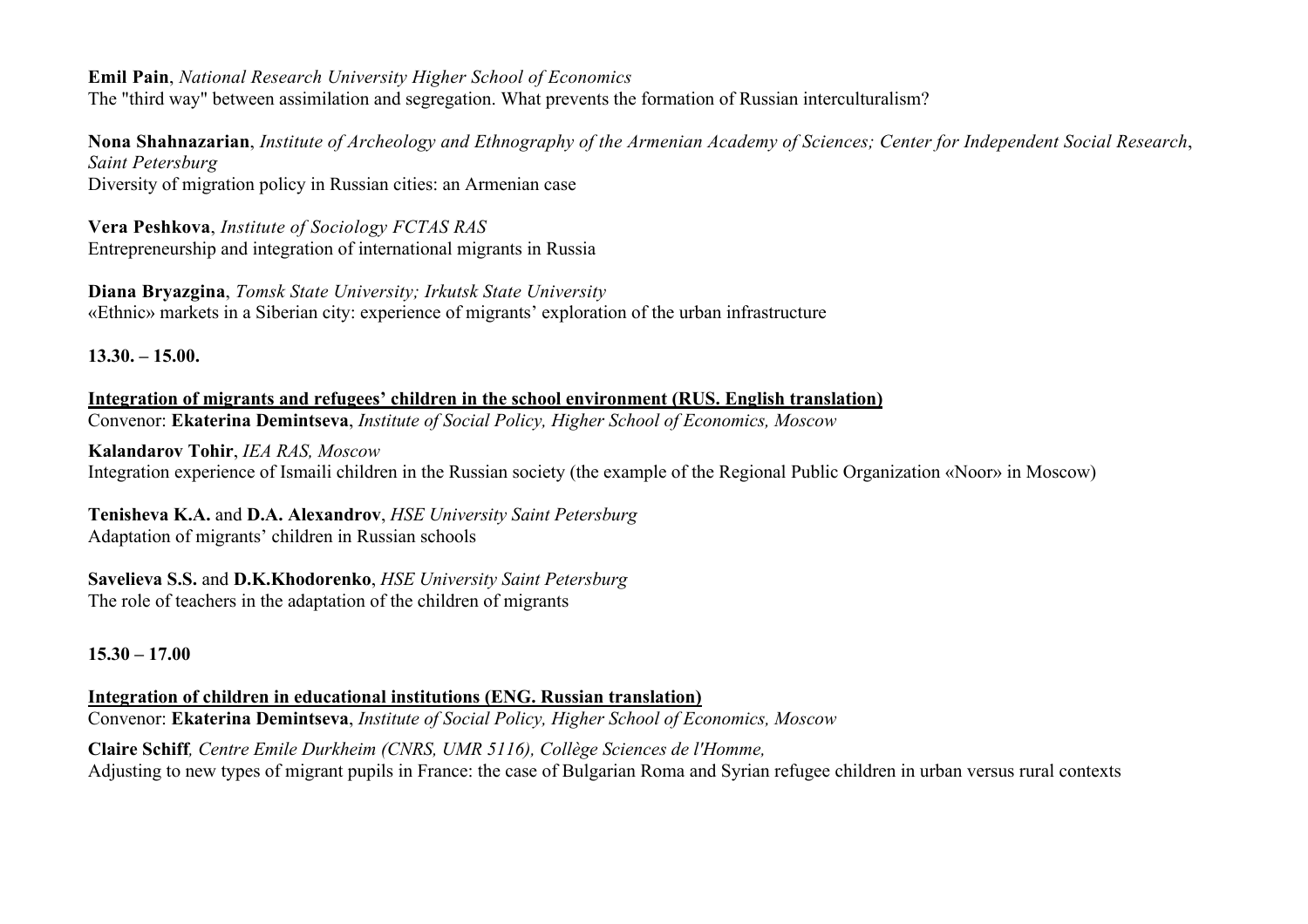**Emil Pain**, *National Research University Higher School of Economics*

The "third way" between assimilation and segregation. What prevents the formation of Russian interculturalism?

**Nona Shahnazarian**, *Institute of Archeology and Ethnography of the Armenian Academy of Sciences; Center for Independent Social Research*, *Saint Petersburg*

Diversity of migration policy in Russian cities: an Armenian case

**Vera Peshkova**, *Institute of Sociology FCTAS RAS* Entrepreneurship and integration of international migrants in Russia

**Diana Bryazgina**, *Tomsk State University; Irkutsk State University* «Ethnic» markets in a Siberian city: experience of migrants' exploration of the urban infrastructure

**13.30. – 15.00.**

**Integration of migrants and refugees' children in the school environment (RUS. English translation)** Convenor: **Ekaterina Demintseva**, *Institute of Social Policy, Higher School of Economics, Moscow*

**Kalandarov Tohir**, *IEA RAS, Moscow* Integration experience of Ismaili children in the Russian society (the example of the Regional Public Organization «Noor» in Moscow)

**Tenisheva K.А.** and **D.А. Alexandrov**, *HSE University Saint Petersburg* Adaptation of migrants' children in Russian schools

**Savelieva S.S.** and **D.K.Khodorenko**, *HSE University Saint Petersburg* The role of teachers in the adaptation of the children of migrants

**15.30 – 17.00**

**Integration of children in educational institutions (ENG. Russian translation)** Convenor: **Ekaterina Demintseva**, *Institute of Social Policy, Higher School of Economics, Moscow*

**Claire Schiff***, Centre Emile Durkheim (CNRS, UMR 5116), Collège Sciences de l'Homme,*  Adjusting to new types of migrant pupils in France: the case of Bulgarian Roma and Syrian refugee children in urban versus rural contexts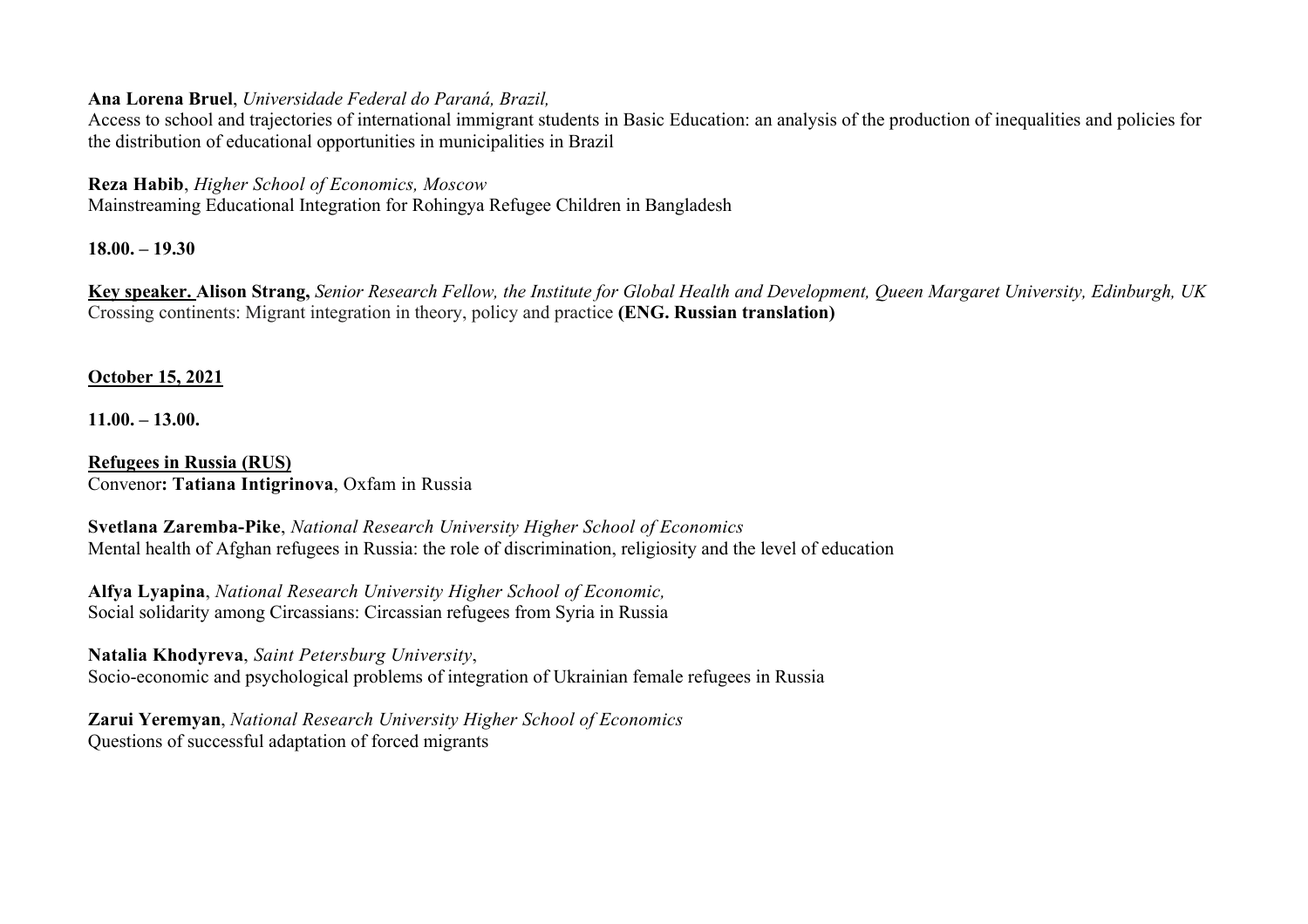#### **Ana Lorena Bruel**, *Universidade Federal do Paraná, Brazil,*

Access to school and trajectories of international immigrant students in Basic Education: an analysis of the production of inequalities and policies for the distribution of educational opportunities in municipalities in Brazil

**Reza Habib**, *Higher School of Economics, Moscow*

Mainstreaming Educational Integration for Rohingya Refugee Children in Bangladesh

**18.00. – 19.30**

**Key speaker. Alison Strang,** *Senior Research Fellow, the Institute for Global Health and Development, Queen Margaret University, Edinburgh, UK*  Crossing continents: Migrant integration in theory, policy and practice **(ENG. Russian translation)**

# **October 15, 2021**

**11.00. – 13.00.**

**Refugees in Russia (RUS)** Convenor**: Tatiana Intigrinova**, Oxfam in Russia

**Svetlana Zaremba-Pike**, *National Research University Higher School of Economics* Mental health of Afghan refugees in Russia: the role of discrimination, religiosity and the level of education

**Alfya Lyapina**, *National Research University Higher School of Economic,* Social solidarity among Сircassians: Circassian refugees from Syria in Russia

**Natalia Khodyreva**, *Saint Petersburg University*, Socio-economic and psychological problems of integration of Ukrainian female refugees in Russia

**Zarui Yeremyan**, *National Research University Higher School of Economics* Questions of successful adaptation of forced migrants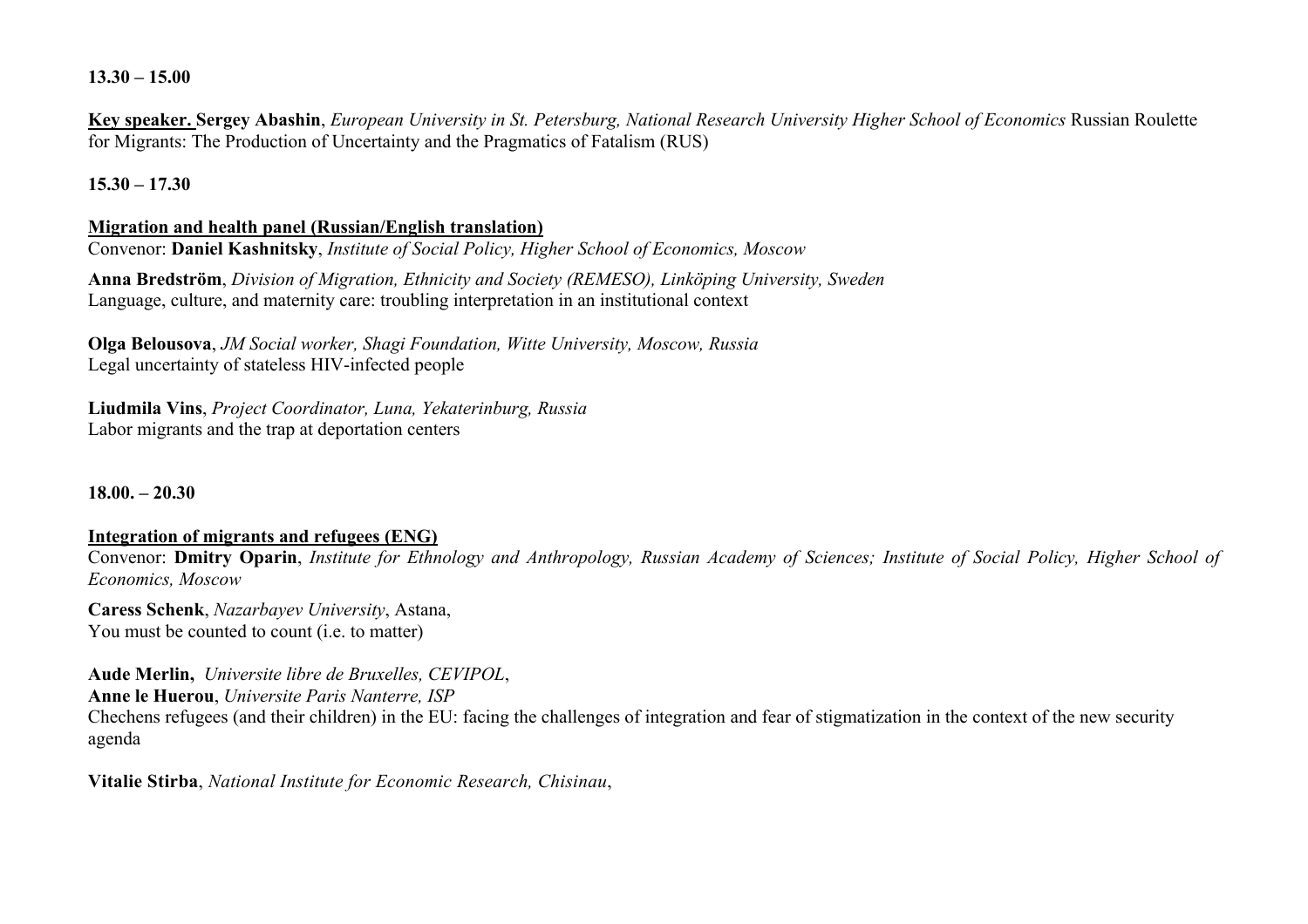**13.30 – 15.00**

**Key speaker. Sergey Abashin**, *European University in St. Petersburg, National Research University Higher School of Economics* Russian Roulette for Migrants: The Production of Uncertainty and the Pragmatics of Fatalism (RUS)

**15.30 – 17.30**

#### **Migration and health panel (Russian/English translation)**

Convenor: **Daniel Kashnitsky**, *Institute of Social Policy, Higher School of Economics, Moscow*

**Anna Bredström**, *Division of Migration, Ethnicity and Society (REMESO), Linköping University, Sweden* Language, culture, and maternity care: troubling interpretation in an institutional context

**Olga Belousova**, *JM Social worker, Shagi Foundation, Witte University, Moscow, Russia*  Legal uncertainty of stateless HIV-infected people

**Liudmila Vins**, *Project Coordinator, Luna, Yekaterinburg, Russia* Labor migrants and the trap at deportation centers

**18.00. – 20.30**

## **Integration of migrants and refugees (ENG)**

Convenor: **Dmitry Oparin**, *Institute for Ethnology and Anthropology, Russian Academy of Sciences; Institute of Social Policy, Higher School of Economics, Moscow*

**Caress Schenk**, *Nazarbayev University*, Astana, You must be counted to count (i.e. to matter)

**Aude Merlin,** *Universite libre de Bruxelles, CEVIPOL*,

**Anne le Huerou**, *Universite Paris Nanterre, ISP*

Chechens refugees (and their children) in the EU: facing the challenges of integration and fear of stigmatization in the context of the new security agenda

**Vitalie Stirba**, *National Institute for Economic Research, Chisinau*,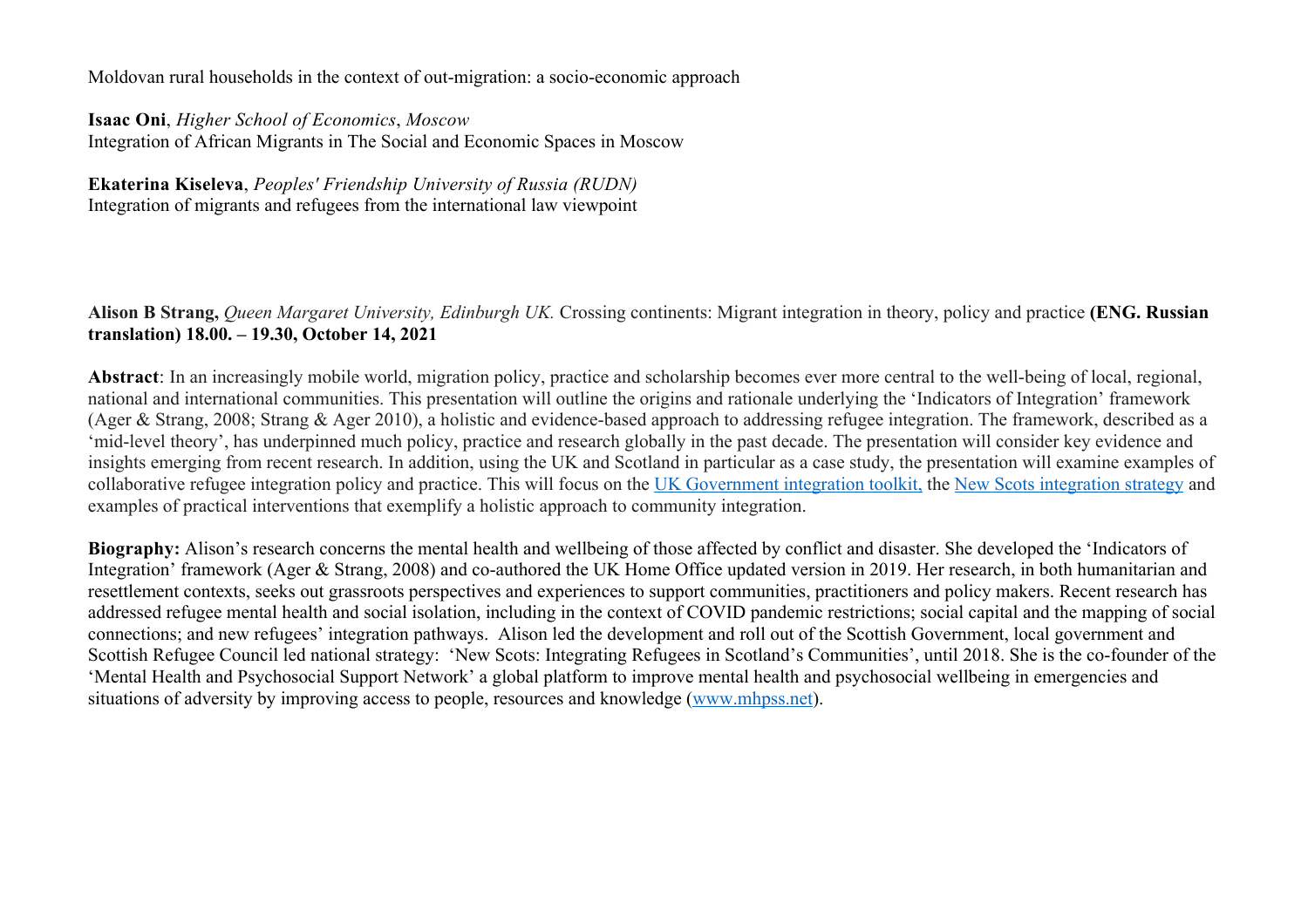Moldovan rural households in the context of out-migration: a socio-economic approach

**Isaac Oni**, *Higher School of Economics*, *Moscow* Integration of African Migrants in The Social and Economic Spaces in Moscow

**Ekaterina Kiseleva**, *Peoples' Friendship University of Russia (RUDN)* Integration of migrants and refugees from the international law viewpoint

**Alison B Strang,** *Queen Margaret University, Edinburgh UK.* Crossing continents: Migrant integration in theory, policy and practice **(ENG. Russian translation) 18.00. – 19.30, October 14, 2021**

**Abstract**: In an increasingly mobile world, migration policy, practice and scholarship becomes ever more central to the well-being of local, regional, national and international communities. This presentation will outline the origins and rationale underlying the 'Indicators of Integration' framework (Ager & Strang, 2008; Strang & Ager 2010), a holistic and evidence-based approach to addressing refugee integration. The framework, described as a 'mid-level theory', has underpinned much policy, practice and research globally in the past decade. The presentation will consider key evidence and insights emerging from recent research. In addition, using the UK and Scotland in particular as a case study, the presentation will examine examples of collaborative refugee integration policy and practice. This will focus on the UK Government integration toolkit, the New Scots integration strategy and examples of practical interventions that exemplify a holistic approach to community integration.

**Biography:** Alison's research concerns the mental health and wellbeing of those affected by conflict and disaster. She developed the 'Indicators of Integration' framework (Ager & Strang, 2008) and co-authored the UK Home Office updated version in 2019. Her research, in both humanitarian and resettlement contexts, seeks out grassroots perspectives and experiences to support communities, practitioners and policy makers. Recent research has addressed refugee mental health and social isolation, including in the context of COVID pandemic restrictions; social capital and the mapping of social connections; and new refugees' integration pathways. Alison led the development and roll out of the Scottish Government, local government and Scottish Refugee Council led national strategy: 'New Scots: Integrating Refugees in Scotland's Communities', until 2018. She is the co-founder of the 'Mental Health and Psychosocial Support Network' a global platform to improve mental health and psychosocial wellbeing in emergencies and situations of adversity by improving access to people, resources and knowledge (www.mhpss.net).